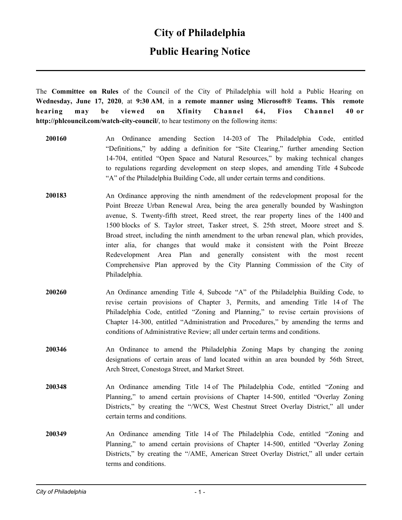#### **City of Philadelphia**

## **Public Hearing Notice**

The **Committee on Rules** of the Council of the City of Philadelphia will hold a Public Hearing on **Wednesday, June 17, 2020**, at **9:30 AM**, in **a remote manner using Microsoft® Teams. This remote hearing may be viewed on Xfinity Channel 64, Fios Channel 40 or http://phlcouncil.com/watch-city-council/**, to hear testimony on the following items:

- **200160** An Ordinance amending Section 14-203 of The Philadelphia Code, entitled "Definitions," by adding a definition for "Site Clearing," further amending Section 14-704, entitled "Open Space and Natural Resources," by making technical changes to regulations regarding development on steep slopes, and amending Title 4 Subcode "A" of the Philadelphia Building Code, all under certain terms and conditions.
- **200183** An Ordinance approving the ninth amendment of the redevelopment proposal for the Point Breeze Urban Renewal Area, being the area generally bounded by Washington avenue, S. Twenty-fifth street, Reed street, the rear property lines of the 1400 and 1500 blocks of S. Taylor street, Tasker street, S. 25th street, Moore street and S. Broad street, including the ninth amendment to the urban renewal plan, which provides, inter alia, for changes that would make it consistent with the Point Breeze Redevelopment Area Plan and generally consistent with the most recent Comprehensive Plan approved by the City Planning Commission of the City of Philadelphia.
- **200260** An Ordinance amending Title 4, Subcode "A" of the Philadelphia Building Code, to revise certain provisions of Chapter 3, Permits, and amending Title 14 of The Philadelphia Code, entitled "Zoning and Planning," to revise certain provisions of Chapter 14-300, entitled "Administration and Procedures," by amending the terms and conditions of Administrative Review; all under certain terms and conditions.
- **200346** An Ordinance to amend the Philadelphia Zoning Maps by changing the zoning designations of certain areas of land located within an area bounded by 56th Street, Arch Street, Conestoga Street, and Market Street.
- **200348** An Ordinance amending Title 14 of The Philadelphia Code, entitled "Zoning and Planning," to amend certain provisions of Chapter 14-500, entitled "Overlay Zoning Districts," by creating the "/WCS, West Chestnut Street Overlay District," all under certain terms and conditions.
- **200349** An Ordinance amending Title 14 of The Philadelphia Code, entitled "Zoning and Planning," to amend certain provisions of Chapter 14-500, entitled "Overlay Zoning Districts," by creating the "/AME, American Street Overlay District," all under certain terms and conditions.